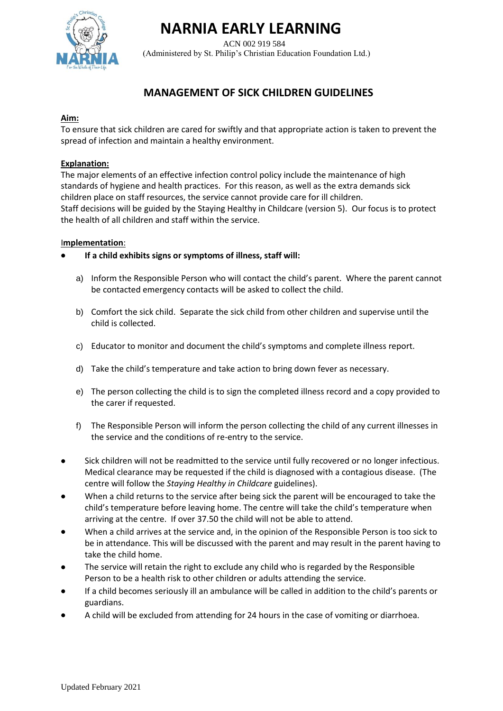# **NARNIA EARLY LEARNING**

 ACN 002 919 584 (Administered by St. Philip's Christian Education Foundation Ltd.)

# **MANAGEMENT OF SICK CHILDREN GUIDELINES**

### **Aim:**

To ensure that sick children are cared for swiftly and that appropriate action is taken to prevent the spread of infection and maintain a healthy environment.

## **Explanation:**

The major elements of an effective infection control policy include the maintenance of high standards of hygiene and health practices. For this reason, as well as the extra demands sick children place on staff resources, the service cannot provide care for ill children. Staff decisions will be guided by the Staying Healthy in Childcare (version 5). Our focus is to protect the health of all children and staff within the service.

# I**mplementation**:

- **If a child exhibits signs or symptoms of illness, staff will:**
	- a) Inform the Responsible Person who will contact the child's parent. Where the parent cannot be contacted emergency contacts will be asked to collect the child.
	- b) Comfort the sick child. Separate the sick child from other children and supervise until the child is collected.
	- c) Educator to monitor and document the child's symptoms and complete illness report.
	- d) Take the child's temperature and take action to bring down fever as necessary.
	- e) The person collecting the child is to sign the completed illness record and a copy provided to the carer if requested.
	- f) The Responsible Person will inform the person collecting the child of any current illnesses in the service and the conditions of re-entry to the service.
- Sick children will not be readmitted to the service until fully recovered or no longer infectious. Medical clearance may be requested if the child is diagnosed with a contagious disease. (The centre will follow the *Staying Healthy in Childcare* guidelines).
- When a child returns to the service after being sick the parent will be encouraged to take the child's temperature before leaving home. The centre will take the child's temperature when arriving at the centre. If over 37.50 the child will not be able to attend.
- When a child arrives at the service and, in the opinion of the Responsible Person is too sick to be in attendance. This will be discussed with the parent and may result in the parent having to take the child home.
- The service will retain the right to exclude any child who is regarded by the Responsible Person to be a health risk to other children or adults attending the service.
- If a child becomes seriously ill an ambulance will be called in addition to the child's parents or guardians.
- A child will be excluded from attending for 24 hours in the case of vomiting or diarrhoea.